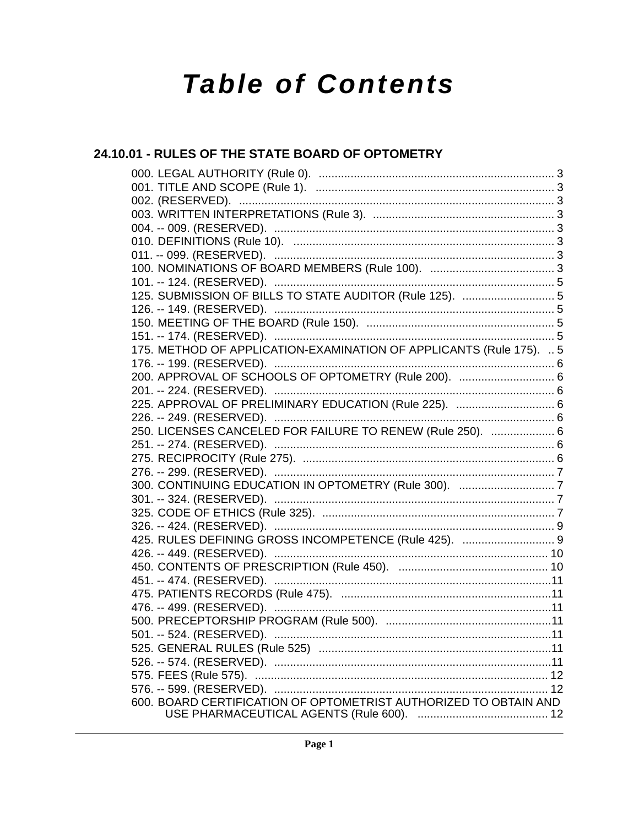# **Table of Contents**

# 24.10.01 - RULES OF THE STATE BOARD OF OPTOMETRY

| 151. -- 174. (RESERVED). …………………………………………………………………………………5           |  |
|---------------------------------------------------------------------|--|
| 175. METHOD OF APPLICATION-EXAMINATION OF APPLICANTS (Rule 175).  5 |  |
|                                                                     |  |
| 200. APPROVAL OF SCHOOLS OF OPTOMETRY (Rule 200).  6                |  |
|                                                                     |  |
| 225. APPROVAL OF PRELIMINARY EDUCATION (Rule 225).  6               |  |
|                                                                     |  |
| 250. LICENSES CANCELED FOR FAILURE TO RENEW (Rule 250).  6          |  |
|                                                                     |  |
|                                                                     |  |
|                                                                     |  |
|                                                                     |  |
|                                                                     |  |
|                                                                     |  |
|                                                                     |  |
| 425. RULES DEFINING GROSS INCOMPETENCE (Rule 425).  9               |  |
|                                                                     |  |
|                                                                     |  |
|                                                                     |  |
|                                                                     |  |
|                                                                     |  |
|                                                                     |  |
|                                                                     |  |
|                                                                     |  |
|                                                                     |  |
|                                                                     |  |
|                                                                     |  |
| 600. BOARD CERTIFICATION OF OPTOMETRIST AUTHORIZED TO OBTAIN AND    |  |
|                                                                     |  |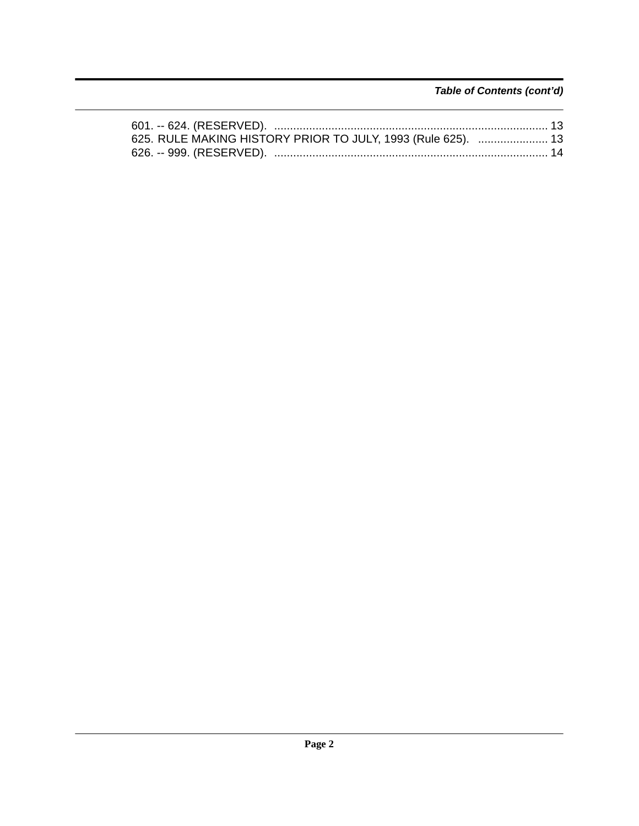*Table of Contents (cont'd)*

| 625. RULE MAKING HISTORY PRIOR TO JULY, 1993 (Rule 625).  13 |  |
|--------------------------------------------------------------|--|
| 626. -- 999. (RESERVED). ………………………………………………………………………… 14     |  |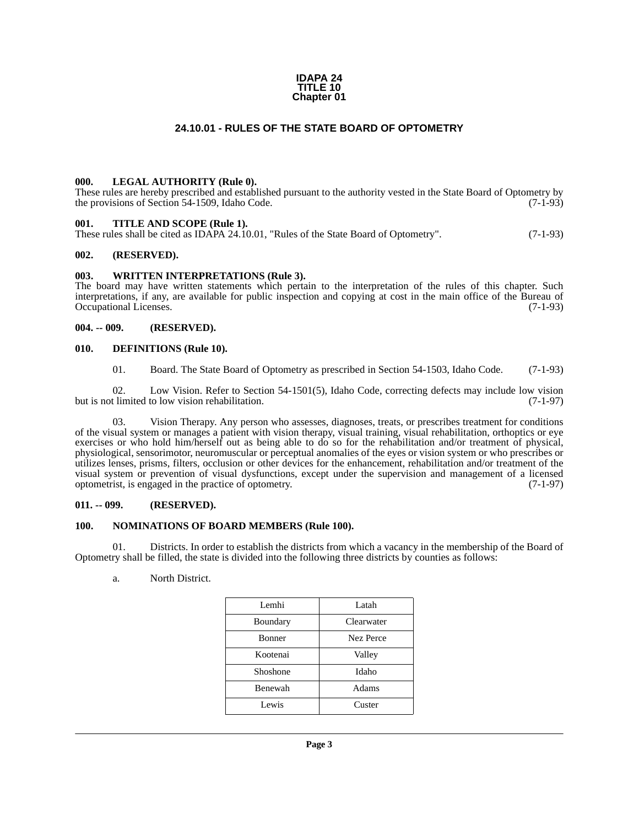#### **IDAPA 24 TITLE 10 Chapter 01**

#### **24.10.01 - RULES OF THE STATE BOARD OF OPTOMETRY**

#### <span id="page-2-1"></span><span id="page-2-0"></span>**000. LEGAL AUTHORITY (Rule 0).**

These rules are hereby prescribed and established pursuant to the authority vested in the State Board of Optometry by the provisions of Section 54-1509, Idaho Code. (7-1-93) the provisions of Section 54-1509, Idaho Code.

#### <span id="page-2-2"></span>**001. TITLE AND SCOPE (Rule 1).**

These rules shall be cited as IDAPA 24.10.01, "Rules of the State Board of Optometry". (7-1-93)

#### <span id="page-2-3"></span>**002. (RESERVED).**

#### <span id="page-2-4"></span>**003. WRITTEN INTERPRETATIONS (Rule 3).**

The board may have written statements which pertain to the interpretation of the rules of this chapter. Such interpretations, if any, are available for public inspection and copying at cost in the main office of the Bureau of Occupational Licenses. (7-1-93)

#### <span id="page-2-5"></span>**004. -- 009. (RESERVED).**

#### <span id="page-2-6"></span>**010. DEFINITIONS (Rule 10).**

01. Board. The State Board of Optometry as prescribed in Section 54-1503, Idaho Code. (7-1-93)

02. Low Vision. Refer to Section 54-1501(5), Idaho Code, correcting defects may include low vision that timited to low vision rehabilitation. (7-1-97) but is not limited to low vision rehabilitation.

03. Vision Therapy. Any person who assesses, diagnoses, treats, or prescribes treatment for conditions of the visual system or manages a patient with vision therapy, visual training, visual rehabilitation, orthoptics or eye exercises or who hold him/herself out as being able to do so for the rehabilitation and/or treatment of physical, physiological, sensorimotor, neuromuscular or perceptual anomalies of the eyes or vision system or who prescribes or utilizes lenses, prisms, filters, occlusion or other devices for the enhancement, rehabilitation and/or treatment of the visual system or prevention of visual dysfunctions, except under the supervision and management of a licensed optometrist, is engaged in the practice of optometry. (7-1-97) optometrist, is engaged in the practice of optometry.

#### <span id="page-2-7"></span>**011. -- 099. (RESERVED).**

#### <span id="page-2-8"></span>**100. NOMINATIONS OF BOARD MEMBERS (Rule 100).**

01. Districts. In order to establish the districts from which a vacancy in the membership of the Board of Optometry shall be filled, the state is divided into the following three districts by counties as follows:

a. North District.

| Latah      |
|------------|
| Clearwater |
| Nez Perce  |
| Valley     |
| Idaho      |
| Adams      |
| Custer     |
|            |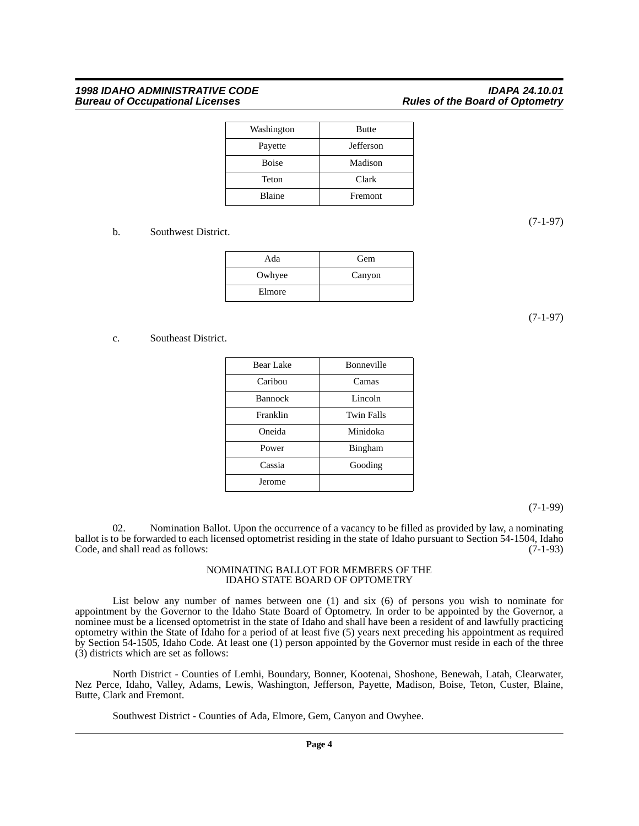| Washington    | <b>Butte</b> |
|---------------|--------------|
| Payette       | Jefferson    |
| <b>Boise</b>  | Madison      |
| Teton         | Clark        |
| <b>Blaine</b> | Fremont      |

#### b. Southwest District.

| Ada    | Gem    |
|--------|--------|
| Owhyee | Canyon |
| Elmore |        |

(7-1-97)

#### c. Southeast District.

| Bear Lake      | Bonneville        |
|----------------|-------------------|
| Caribou        | Camas             |
| <b>Bannock</b> | Lincoln           |
| Franklin       | <b>Twin Falls</b> |
| Oneida         | Minidoka          |
| Power          | Bingham           |
| Cassia         | Gooding           |
| Jerome         |                   |

(7-1-99)

02. Nomination Ballot. Upon the occurrence of a vacancy to be filled as provided by law, a nominating ballot is to be forwarded to each licensed optometrist residing in the state of Idaho pursuant to Section 54-1504, Idaho Code, and shall read as follows: (7-1-93) Code, and shall read as follows:

#### NOMINATING BALLOT FOR MEMBERS OF THE IDAHO STATE BOARD OF OPTOMETRY

List below any number of names between one (1) and six (6) of persons you wish to nominate for appointment by the Governor to the Idaho State Board of Optometry. In order to be appointed by the Governor, a nominee must be a licensed optometrist in the state of Idaho and shall have been a resident of and lawfully practicing optometry within the State of Idaho for a period of at least five (5) years next preceding his appointment as required by Section 54-1505, Idaho Code. At least one (1) person appointed by the Governor must reside in each of the three (3) districts which are set as follows:

North District - Counties of Lemhi, Boundary, Bonner, Kootenai, Shoshone, Benewah, Latah, Clearwater, Nez Perce, Idaho, Valley, Adams, Lewis, Washington, Jefferson, Payette, Madison, Boise, Teton, Custer, Blaine, Butte, Clark and Fremont.

Southwest District - Counties of Ada, Elmore, Gem, Canyon and Owyhee.

(7-1-97)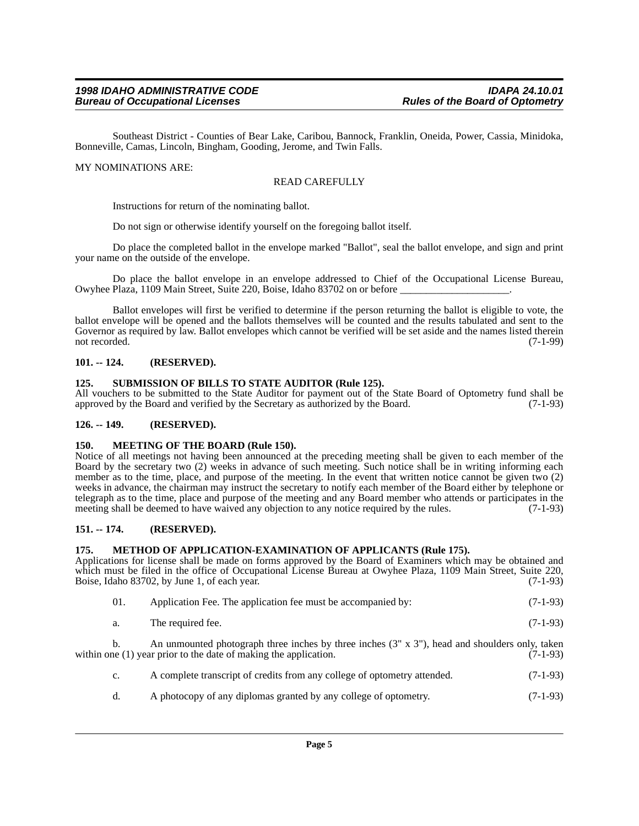Southeast District - Counties of Bear Lake, Caribou, Bannock, Franklin, Oneida, Power, Cassia, Minidoka, Bonneville, Camas, Lincoln, Bingham, Gooding, Jerome, and Twin Falls.

#### MY NOMINATIONS ARE:

#### READ CAREFULLY

Instructions for return of the nominating ballot.

Do not sign or otherwise identify yourself on the foregoing ballot itself.

Do place the completed ballot in the envelope marked "Ballot", seal the ballot envelope, and sign and print your name on the outside of the envelope.

Do place the ballot envelope in an envelope addressed to Chief of the Occupational License Bureau, Owyhee Plaza, 1109 Main Street, Suite 220, Boise, Idaho 83702 on or before \_\_\_\_\_\_\_\_\_\_\_\_\_\_\_\_\_\_\_\_\_.

Ballot envelopes will first be verified to determine if the person returning the ballot is eligible to vote, the ballot envelope will be opened and the ballots themselves will be counted and the results tabulated and sent to the Governor as required by law. Ballot envelopes which cannot be verified will be set aside and the names listed therein not recorded. (7-1-99) not recorded. (7-1-99)

#### <span id="page-4-0"></span>**101. -- 124. (RESERVED).**

#### <span id="page-4-1"></span>**125. SUBMISSION OF BILLS TO STATE AUDITOR (Rule 125).**

All vouchers to be submitted to the State Auditor for payment out of the State Board of Optometry fund shall be approved by the Board and verified by the Secretary as authorized by the Board. (7-1-93)

#### <span id="page-4-2"></span>**126. -- 149. (RESERVED).**

#### <span id="page-4-3"></span>**150. MEETING OF THE BOARD (Rule 150).**

Notice of all meetings not having been announced at the preceding meeting shall be given to each member of the Board by the secretary two (2) weeks in advance of such meeting. Such notice shall be in writing informing each member as to the time, place, and purpose of the meeting. In the event that written notice cannot be given two (2) weeks in advance, the chairman may instruct the secretary to notify each member of the Board either by telephone or telegraph as to the time, place and purpose of the meeting and any Board member who attends or participates in the meeting shall be deemed to have waived any objection to any notice required by the rules. (7-1-93) meeting shall be deemed to have waived any objection to any notice required by the rules.

#### <span id="page-4-4"></span>**151. -- 174. (RESERVED).**

#### <span id="page-4-5"></span>**175. METHOD OF APPLICATION-EXAMINATION OF APPLICANTS (Rule 175).**

Applications for license shall be made on forms approved by the Board of Examiners which may be obtained and which must be filed in the office of Occupational License Bureau at Owyhee Plaza, 1109 Main Street, Suite 220,<br>Boise, Idaho 83702, by June 1, of each year. (7-1-93) Boise, Idaho 83702, by June 1, of each year.

| -01. |  | Application Fee. The application fee must be accompanied by: | $(7-1-93)$ |
|------|--|--------------------------------------------------------------|------------|
|      |  |                                                              |            |

|  | The required fee. |  | $(7-1-93)$ |
|--|-------------------|--|------------|
|--|-------------------|--|------------|

b. An unmounted photograph three inches by three inches (3" x 3"), head and shoulders only, taken within one  $(1)$  year prior to the date of making the application.  $(7-1-93)$ 

- c. A complete transcript of credits from any college of optometry attended. (7-1-93)
- d. A photocopy of any diplomas granted by any college of optometry. (7-1-93)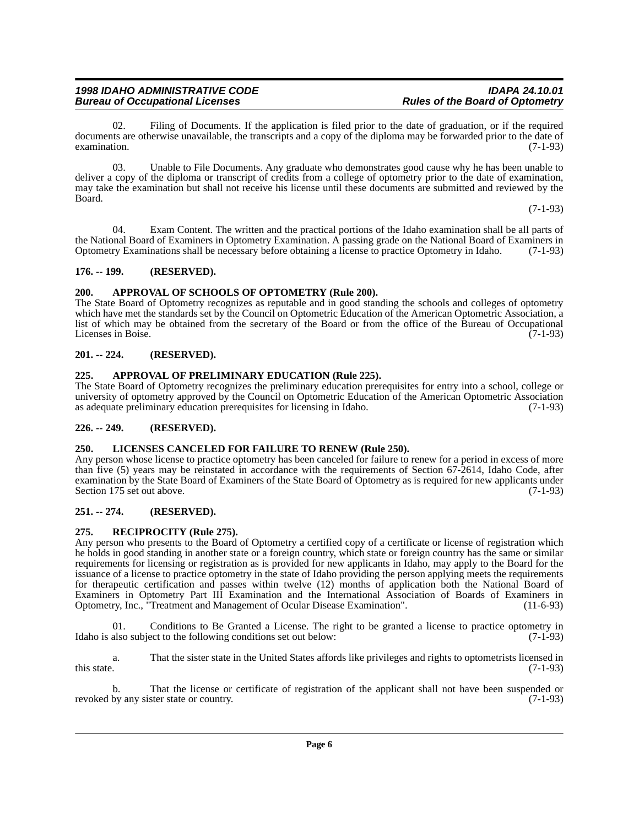02. Filing of Documents. If the application is filed prior to the date of graduation, or if the required documents are otherwise unavailable, the transcripts and a copy of the diploma may be forwarded prior to the date of examination. (7-1-93)  $\alpha$  examination. (7-1-93)

03. Unable to File Documents. Any graduate who demonstrates good cause why he has been unable to deliver a copy of the diploma or transcript of credits from a college of optometry prior to the date of examination, may take the examination but shall not receive his license until these documents are submitted and reviewed by the Board.

(7-1-93)

04. Exam Content. The written and the practical portions of the Idaho examination shall be all parts of the National Board of Examiners in Optometry Examination. A passing grade on the National Board of Examiners in<br>Optometry Examinations shall be necessary before obtaining a license to practice Optometry in Idaho. (7-1-93) Optometry Examinations shall be necessary before obtaining a license to practice Optometry in Idaho.

#### <span id="page-5-0"></span>**176. -- 199. (RESERVED).**

#### <span id="page-5-1"></span>**200. APPROVAL OF SCHOOLS OF OPTOMETRY (Rule 200).**

The State Board of Optometry recognizes as reputable and in good standing the schools and colleges of optometry which have met the standards set by the Council on Optometric Education of the American Optometric Association, a list of which may be obtained from the secretary of the Board or from the office of the Bureau of Occupational<br>Licenses in Boise. (7-1-93) Licenses in Boise.

#### <span id="page-5-2"></span>**201. -- 224. (RESERVED).**

#### <span id="page-5-3"></span>**225. APPROVAL OF PRELIMINARY EDUCATION (Rule 225).**

The State Board of Optometry recognizes the preliminary education prerequisites for entry into a school, college or university of optometry approved by the Council on Optometric Education of the American Optometric Association as adequate preliminary education prerequisites for licensing in Idaho. (7-1-93) as adequate preliminary education prerequisites for licensing in Idaho.

#### <span id="page-5-4"></span>**226. -- 249. (RESERVED).**

#### <span id="page-5-5"></span>**250. LICENSES CANCELED FOR FAILURE TO RENEW (Rule 250).**

Any person whose license to practice optometry has been canceled for failure to renew for a period in excess of more than five (5) years may be reinstated in accordance with the requirements of Section 67-2614, Idaho Code, after examination by the State Board of Examiners of the State Board of Optometry as is required for new applicants under<br>Section 175 set out above. (7-1-93) Section 175 set out above.

#### <span id="page-5-6"></span>**251. -- 274. (RESERVED).**

#### <span id="page-5-7"></span>**275. RECIPROCITY (Rule 275).**

Any person who presents to the Board of Optometry a certified copy of a certificate or license of registration which he holds in good standing in another state or a foreign country, which state or foreign country has the same or similar requirements for licensing or registration as is provided for new applicants in Idaho, may apply to the Board for the issuance of a license to practice optometry in the state of Idaho providing the person applying meets the requirements for therapeutic certification and passes within twelve (12) months of application both the National Board of Examiners in Optometry Part III Examination and the International Association of Boards of Examiners in Optometry, Inc., "Treatment and Management of Ocular Disease Examination". (11-6-93)

01. Conditions to Be Granted a License. The right to be granted a license to practice optometry in also subject to the following conditions set out below:  $(7-1-93)$ Idaho is also subject to the following conditions set out below:

a. That the sister state in the United States affords like privileges and rights to optometrists licensed in this state.  $(7-1-93)$ 

b. That the license or certificate of registration of the applicant shall not have been suspended or by any sister state or country. (7-1-93) revoked by any sister state or country.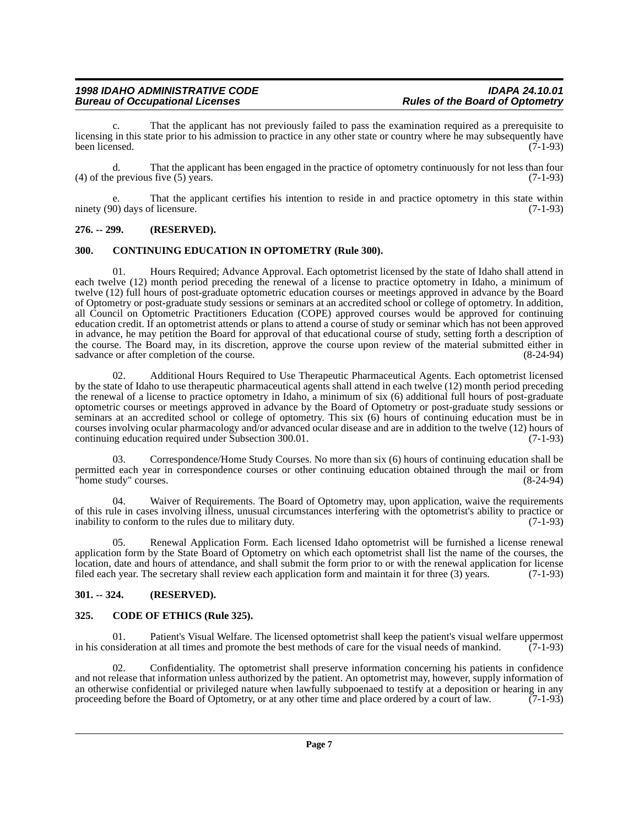That the applicant has not previously failed to pass the examination required as a prerequisite to licensing in this state prior to his admission to practice in any other state or country where he may subsequently have<br>(7-1-93) been licensed. (7-1-93)

d. That the applicant has been engaged in the practice of optometry continuously for not less than four (4) of the previous five (5) years.  $(7-1-93)$ 

e. That the applicant certifies his intention to reside in and practice optometry in this state within ninety (90) days of licensure. (7-1-93)

#### <span id="page-6-0"></span>**276. -- 299. (RESERVED).**

#### <span id="page-6-1"></span>**300. CONTINUING EDUCATION IN OPTOMETRY (Rule 300).**

01. Hours Required; Advance Approval. Each optometrist licensed by the state of Idaho shall attend in each twelve (12) month period preceding the renewal of a license to practice optometry in Idaho, a minimum of twelve (12) full hours of post-graduate optometric education courses or meetings approved in advance by the Board of Optometry or post-graduate study sessions or seminars at an accredited school or college of optometry. In addition, all Council on Optometric Practitioners Education (COPE) approved courses would be approved for continuing education credit. If an optometrist attends or plans to attend a course of study or seminar which has not been approved in advance, he may petition the Board for approval of that educational course of study, setting forth a description of the course. The Board may, in its discretion, approve the course upon review of the material submitted either in sadvance or after completion of the course. (8-24-94) sadvance or after completion of the course.

02. Additional Hours Required to Use Therapeutic Pharmaceutical Agents. Each optometrist licensed by the state of Idaho to use therapeutic pharmaceutical agents shall attend in each twelve (12) month period preceding the renewal of a license to practice optometry in Idaho, a minimum of six (6) additional full hours of post-graduate optometric courses or meetings approved in advance by the Board of Optometry or post-graduate study sessions or seminars at an accredited school or college of optometry. This six (6) hours of continuing education must be in courses involving ocular pharmacology and/or advanced ocular disease and are in addition to the twelve (12) hours of continuing education required under Subsection 300.01. (7-1-93)

03. Correspondence/Home Study Courses. No more than six (6) hours of continuing education shall be permitted each year in correspondence courses or other continuing education obtained through the mail or from "home study" courses. (8-24-94)

04. Waiver of Requirements. The Board of Optometry may, upon application, waive the requirements of this rule in cases involving illness, unusual circumstances interfering with the optometrist's ability to practice or inability to conform to the rules due to military duty. (7-1-93)

05. Renewal Application Form. Each licensed Idaho optometrist will be furnished a license renewal application form by the State Board of Optometry on which each optometrist shall list the name of the courses, the location, date and hours of attendance, and shall submit the form prior to or with the renewal application for license filed each year. The secretary shall review each application form and maintain it for three (3) years. (7-1-93)

#### <span id="page-6-2"></span>**301. -- 324. (RESERVED).**

#### <span id="page-6-3"></span>**325. CODE OF ETHICS (Rule 325).**

01. Patient's Visual Welfare. The licensed optometrist shall keep the patient's visual welfare uppermost nsideration at all times and promote the best methods of care for the visual needs of mankind. (7-1-93) in his consideration at all times and promote the best methods of care for the visual needs of mankind.

02. Confidentiality. The optometrist shall preserve information concerning his patients in confidence and not release that information unless authorized by the patient. An optometrist may, however, supply information of an otherwise confidential or privileged nature when lawfully subpoenaed to testify at a deposition or hearing in any proceeding before the Board of Optometry, or at any other time and place ordered by a court of law.  $(7$ proceeding before the Board of Optometry, or at any other time and place ordered by a court of law.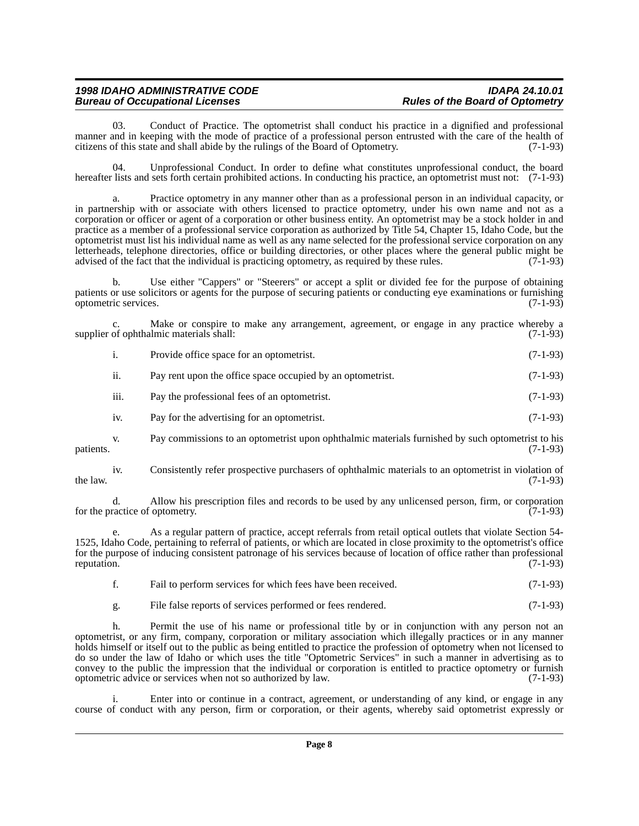03. Conduct of Practice. The optometrist shall conduct his practice in a dignified and professional manner and in keeping with the mode of practice of a professional person entrusted with the care of the health of citizens of this state and shall abide by the rulings of the Board of Optometry. (7-1-93)

04. Unprofessional Conduct. In order to define what constitutes unprofessional conduct, the board hereafter lists and sets forth certain prohibited actions. In conducting his practice, an optometrist must not: (7-1-93)

a. Practice optometry in any manner other than as a professional person in an individual capacity, or in partnership with or associate with others licensed to practice optometry, under his own name and not as a corporation or officer or agent of a corporation or other business entity. An optometrist may be a stock holder in and practice as a member of a professional service corporation as authorized by Title 54, Chapter 15, Idaho Code, but the optometrist must list his individual name as well as any name selected for the professional service corporation on any letterheads, telephone directories, office or building directories, or other places where the general public might be advised of the fact that the individual is practicing optometry, as required by these rules. (7-1-93) advised of the fact that the individual is practicing optometry, as required by these rules.

b. Use either "Cappers" or "Steerers" or accept a split or divided fee for the purpose of obtaining patients or use solicitors or agents for the purpose of securing patients or conducting eye examinations or furnishing optometric services. (7-1-93) optometric services.

c. Make or conspire to make any arrangement, agreement, or engage in any practice whereby a of ophthalmic materials shall: (7-1-93) supplier of ophthalmic materials shall:

|                           | Provide office space for an optometrist.                   | $(7-1-93)$ |
|---------------------------|------------------------------------------------------------|------------|
| $\overline{\mathbf{u}}$ . | Pay rent upon the office space occupied by an optometrist. | $(7-1-93)$ |

iii. Pay the professional fees of an optometrist. (7-1-93)

iv. Pay for the advertising for an optometrist. (7-1-93)

v. Pay commissions to an optometrist upon ophthalmic materials furnished by such optometrist to his patients. (7-1-93)

iv. Consistently refer prospective purchasers of ophthalmic materials to an optometrist in violation of the law.  $(7-1-93)$ 

d. Allow his prescription files and records to be used by any unlicensed person, firm, or corporation for the practice of optometry.

e. As a regular pattern of practice, accept referrals from retail optical outlets that violate Section 54- 1525, Idaho Code, pertaining to referral of patients, or which are located in close proximity to the optometrist's office for the purpose of inducing consistent patronage of his services because of location of office rather than professional reputation. (7-1-93)

- f. Fail to perform services for which fees have been received. (7-1-93)
- g. File false reports of services performed or fees rendered. (7-1-93)

h. Permit the use of his name or professional title by or in conjunction with any person not an optometrist, or any firm, company, corporation or military association which illegally practices or in any manner holds himself or itself out to the public as being entitled to practice the profession of optometry when not licensed to do so under the law of Idaho or which uses the title "Optometric Services" in such a manner in advertising as to convey to the public the impression that the individual or corporation is entitled to practice optometry or furnish optometric advice or services when not so authorized by law. (7-1-93)

i. Enter into or continue in a contract, agreement, or understanding of any kind, or engage in any course of conduct with any person, firm or corporation, or their agents, whereby said optometrist expressly or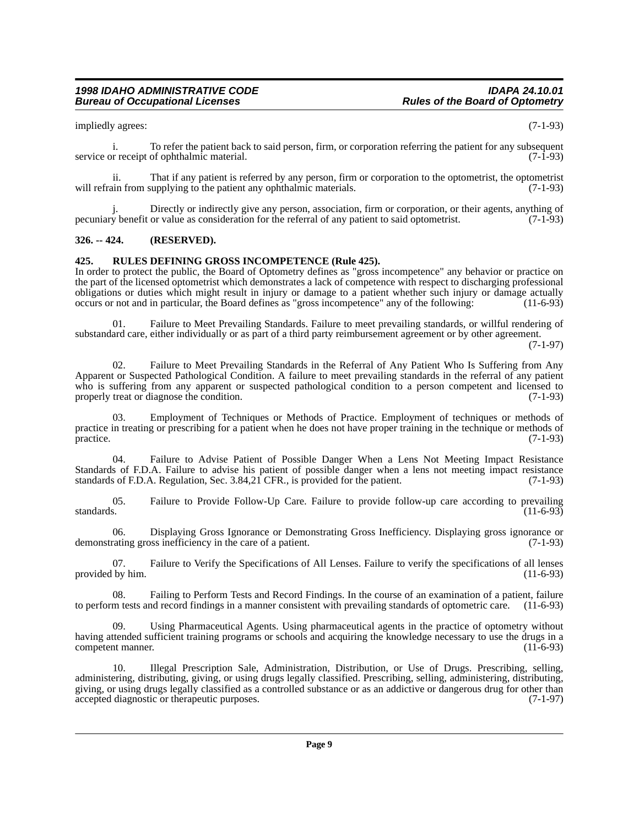impliedly agrees: (7-1-93)

i. To refer the patient back to said person, firm, or corporation referring the patient for any subsequent or receipt of ophthalmic material. (7-1-93) service or receipt of ophthalmic material.

ii. That if any patient is referred by any person, firm or corporation to the optometrist, the optometrist will refrain from supplying to the patient any ophthalmic materials.

Directly or indirectly give any person, association, firm or corporation, or their agents, anything of pecuniary benefit or value as consideration for the referral of any patient to said optometrist. (7-1-93)

#### <span id="page-8-0"></span>**326. -- 424. (RESERVED).**

#### <span id="page-8-1"></span>**425. RULES DEFINING GROSS INCOMPETENCE (Rule 425).**

In order to protect the public, the Board of Optometry defines as "gross incompetence" any behavior or practice on the part of the licensed optometrist which demonstrates a lack of competence with respect to discharging professional obligations or duties which might result in injury or damage to a patient whether such injury or damage actually occurs or not and in particular, the Board defines as "gross incompetence" any of the following: (11-6-93) occurs or not and in particular, the Board defines as "gross incompetence" any of the following:

01. Failure to Meet Prevailing Standards. Failure to meet prevailing standards, or willful rendering of substandard care, either individually or as part of a third party reimbursement agreement or by other agreement.

(7-1-97)

02. Failure to Meet Prevailing Standards in the Referral of Any Patient Who Is Suffering from Any Apparent or Suspected Pathological Condition. A failure to meet prevailing standards in the referral of any patient who is suffering from any apparent or suspected pathological condition to a person competent and licensed to properly treat or diagnose the condition. (7-1-93) properly treat or diagnose the condition.

Employment of Techniques or Methods of Practice. Employment of techniques or methods of practice in treating or prescribing for a patient when he does not have proper training in the technique or methods of practice. (7-1-93)  $practive.$  (7-1-93)

04. Failure to Advise Patient of Possible Danger When a Lens Not Meeting Impact Resistance Standards of F.D.A. Failure to advise his patient of possible danger when a lens not meeting impact resistance standards of F.D.A. Regulation, Sec. 3.84,21 CFR., is provided for the patient. (7-1-93) standards of F.D.A. Regulation, Sec.  $3.84,21$  CFR., is provided for the patient.

05. Failure to Provide Follow-Up Care. Failure to provide follow-up care according to prevailing standards. (11-6-93) standards.  $(11-6-93)$ 

06. Displaying Gross Ignorance or Demonstrating Gross Inefficiency. Displaying gross ignorance or rating gross inefficiency in the care of a patient. (7-1-93) demonstrating gross inefficiency in the care of a patient.

07. Failure to Verify the Specifications of All Lenses. Failure to verify the specifications of all lenses by him. (11-6-93) provided by him.

08. Failing to Perform Tests and Record Findings. In the course of an examination of a patient, failure m tests and record findings in a manner consistent with prevailing standards of optometric care. (11-6-93) to perform tests and record findings in a manner consistent with prevailing standards of optometric care.

09. Using Pharmaceutical Agents. Using pharmaceutical agents in the practice of optometry without having attended sufficient training programs or schools and acquiring the knowledge necessary to use the drugs in a<br>(11-6-93) competent manner.

10. Illegal Prescription Sale, Administration, Distribution, or Use of Drugs. Prescribing, selling, administering, distributing, giving, or using drugs legally classified. Prescribing, selling, administering, distributing, giving, or using drugs legally classified as a controlled substance or as an addictive or dangerous drug for other than accepted diagnostic or therapeutic purposes. (7-1-97) accepted diagnostic or therapeutic purposes.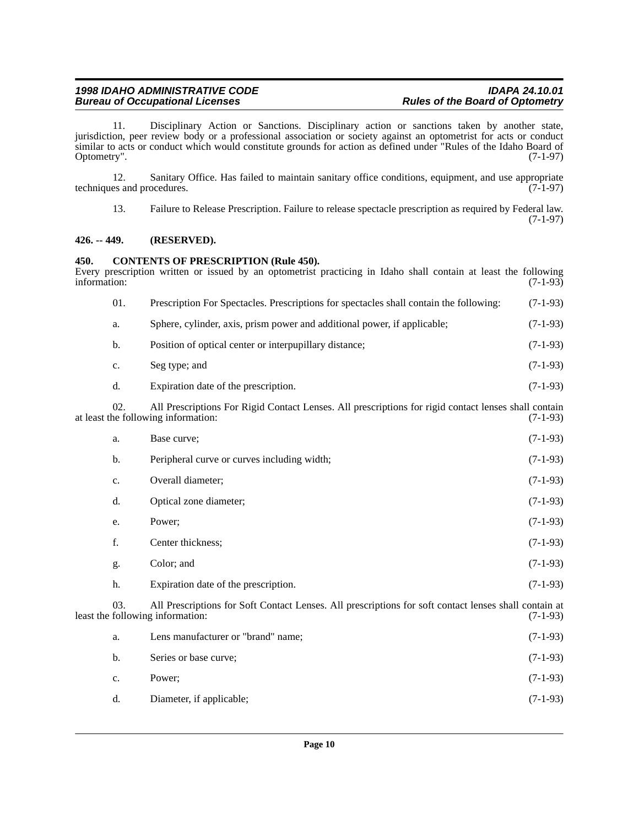11. Disciplinary Action or Sanctions. Disciplinary action or sanctions taken by another state, jurisdiction, peer review body or a professional association or society against an optometrist for acts or conduct similar to acts or conduct which would constitute grounds for action as defined under "Rules of the Idaho Board of Optometry". (7-1-97) Optometry".

12. Sanitary Office. Has failed to maintain sanitary office conditions, equipment, and use appropriate es and procedures. (7-1-97) techniques and procedures.

13. Failure to Release Prescription. Failure to release spectacle prescription as required by Federal law. (7-1-97)

### <span id="page-9-0"></span>**426. -- 449. (RESERVED).**

#### <span id="page-9-1"></span>**450. CONTENTS OF PRESCRIPTION (Rule 450).**

| information: |                                                                                                                                                    | Every prescription written or issued by an optometrist practicing in Idaho shall contain at least the following                           | $(7-1-93)$ |
|--------------|----------------------------------------------------------------------------------------------------------------------------------------------------|-------------------------------------------------------------------------------------------------------------------------------------------|------------|
|              | 01.                                                                                                                                                | Prescription For Spectacles. Prescriptions for spectacles shall contain the following:                                                    | $(7-1-93)$ |
|              | a.                                                                                                                                                 | Sphere, cylinder, axis, prism power and additional power, if applicable;                                                                  | $(7-1-93)$ |
|              | b.                                                                                                                                                 | Position of optical center or interpupillary distance;                                                                                    | $(7-1-93)$ |
|              | c.                                                                                                                                                 | Seg type; and                                                                                                                             | $(7-1-93)$ |
|              | d.                                                                                                                                                 | Expiration date of the prescription.                                                                                                      | $(7-1-93)$ |
|              | 02.<br>All Prescriptions For Rigid Contact Lenses. All prescriptions for rigid contact lenses shall contain<br>at least the following information: |                                                                                                                                           | $(7-1-93)$ |
|              | a.                                                                                                                                                 | Base curve;                                                                                                                               | $(7-1-93)$ |
|              | b.                                                                                                                                                 | Peripheral curve or curves including width;                                                                                               | $(7-1-93)$ |
|              | c.                                                                                                                                                 | Overall diameter;                                                                                                                         | $(7-1-93)$ |
|              | d.                                                                                                                                                 | Optical zone diameter;                                                                                                                    | $(7-1-93)$ |
|              | e.                                                                                                                                                 | Power;                                                                                                                                    | $(7-1-93)$ |
|              | f.                                                                                                                                                 | Center thickness;                                                                                                                         | $(7-1-93)$ |
|              | g.                                                                                                                                                 | Color; and                                                                                                                                | $(7-1-93)$ |
|              | h.                                                                                                                                                 | Expiration date of the prescription.                                                                                                      | $(7-1-93)$ |
|              | 03.                                                                                                                                                | All Prescriptions for Soft Contact Lenses. All prescriptions for soft contact lenses shall contain at<br>least the following information: |            |
|              | a.                                                                                                                                                 | Lens manufacturer or "brand" name;                                                                                                        | $(7-1-93)$ |
|              | b.                                                                                                                                                 | Series or base curve;                                                                                                                     | $(7-1-93)$ |
|              | c.                                                                                                                                                 | Power;                                                                                                                                    | $(7-1-93)$ |
|              | d.                                                                                                                                                 | Diameter, if applicable;                                                                                                                  | $(7-1-93)$ |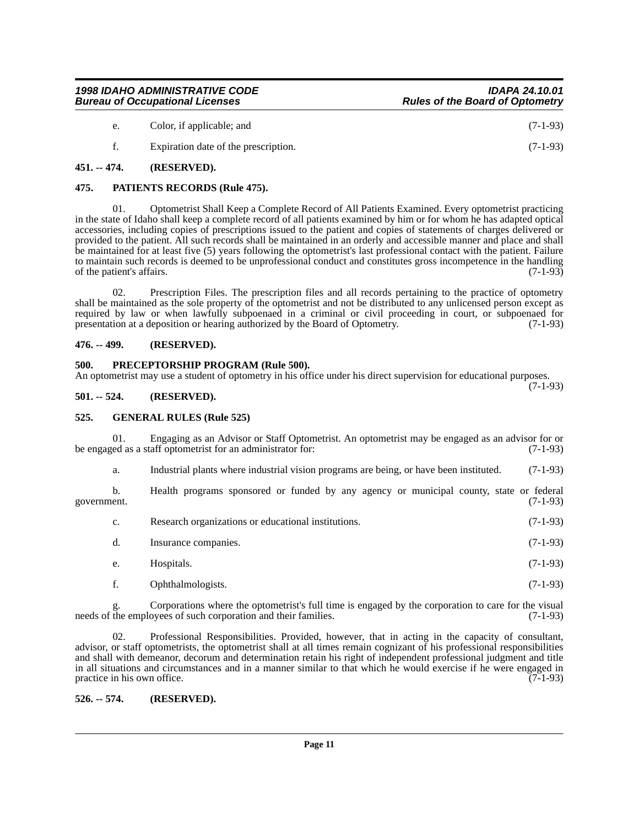| $(7-1-93)$ |
|------------|
| $(7-1-93)$ |
|            |

## <span id="page-10-1"></span><span id="page-10-0"></span>**475. PATIENTS RECORDS (Rule 475).**

01. Optometrist Shall Keep a Complete Record of All Patients Examined. Every optometrist practicing in the state of Idaho shall keep a complete record of all patients examined by him or for whom he has adapted optical accessories, including copies of prescriptions issued to the patient and copies of statements of charges delivered or provided to the patient. All such records shall be maintained in an orderly and accessible manner and place and shall be maintained for at least five (5) years following the optometrist's last professional contact with the patient. Failure to maintain such records is deemed to be unprofessional conduct and constitutes gross incompetence in the handling of the patient's affairs.  $(7-1-93)$ 

02. Prescription Files. The prescription files and all records pertaining to the practice of optometry shall be maintained as the sole property of the optometrist and not be distributed to any unlicensed person except as required by law or when lawfully subpoenaed in a criminal or civil proceeding in court, or subpoenaed for presentation at a deposition or hearing authorized by the Board of Optometry. (7-1-93) presentation at a deposition or hearing authorized by the Board of Optometry.

#### <span id="page-10-2"></span>**476. -- 499. (RESERVED).**

#### <span id="page-10-3"></span>**500. PRECEPTORSHIP PROGRAM (Rule 500).**

An optometrist may use a student of optometry in his office under his direct supervision for educational purposes. (7-1-93)

<span id="page-10-4"></span>**501. -- 524. (RESERVED).**

### <span id="page-10-5"></span>**525. GENERAL RULES (Rule 525)**

01. Engaging as an Advisor or Staff Optometrist. An optometrist may be engaged as an advisor for or ed as a staff optometrist for an administrator for: (7-1-93) be engaged as a staff optometrist for an administrator for:

a. Industrial plants where industrial vision programs are being, or have been instituted. (7-1-93)

b. Health programs sponsored or funded by any agency or municipal county, state or federal government. (7-1-93) government. (7-1-93)

- c. Research organizations or educational institutions. (7-1-93)
- d. Insurance companies. (7-1-93)
- e. Hospitals. (7-1-93)
- f. Ophthalmologists. (7-1-93)

g. Corporations where the optometrist's full time is engaged by the corporation to care for the visual needs of the employees of such corporation and their families. (7-1-93)

02. Professional Responsibilities. Provided, however, that in acting in the capacity of consultant, advisor, or staff optometrists, the optometrist shall at all times remain cognizant of his professional responsibilities and shall with demeanor, decorum and determination retain his right of independent professional judgment and title in all situations and circumstances and in a manner similar to that which he would exercise if he were engaged in practice in his own office. (7-1-93)

#### <span id="page-10-6"></span>**526. -- 574. (RESERVED).**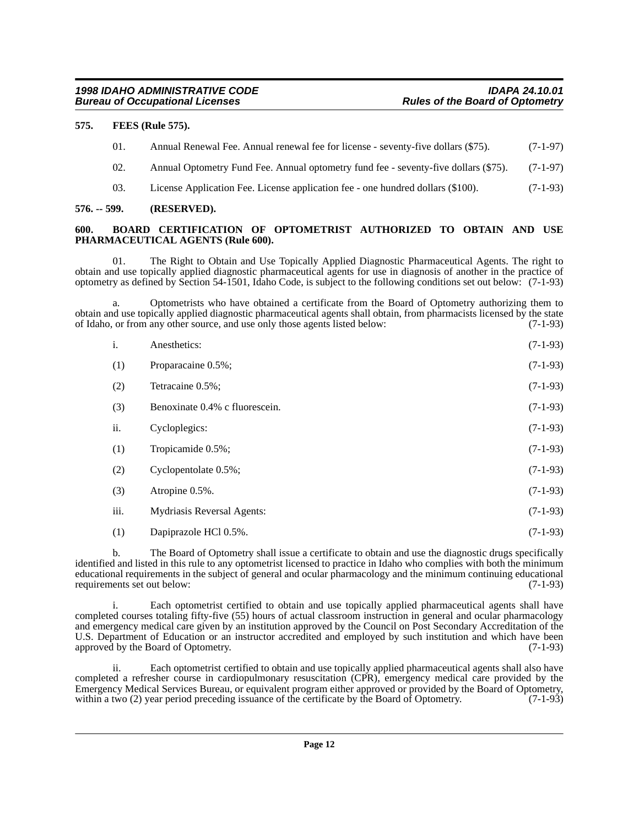#### <span id="page-11-0"></span>**575. FEES (Rule 575).**

|  | 01. |  |  | Annual Renewal Fee. Annual renewal fee for license - seventy-five dollars (\$75). | $(7-1-97)$ |
|--|-----|--|--|-----------------------------------------------------------------------------------|------------|
|--|-----|--|--|-----------------------------------------------------------------------------------|------------|

- 02. Annual Optometry Fund Fee. Annual optometry fund fee seventy-five dollars (\$75). (7-1-97)
- 03. License Application Fee. License application fee one hundred dollars (\$100). (7-1-93)

#### <span id="page-11-1"></span>**576. -- 599. (RESERVED).**

#### <span id="page-11-2"></span>**600. BOARD CERTIFICATION OF OPTOMETRIST AUTHORIZED TO OBTAIN AND USE PHARMACEUTICAL AGENTS (Rule 600).**

01. The Right to Obtain and Use Topically Applied Diagnostic Pharmaceutical Agents. The right to obtain and use topically applied diagnostic pharmaceutical agents for use in diagnosis of another in the practice of optometry as defined by Section 54-1501, Idaho Code, is subject to the following conditions set out below: (7-1-93)

a. Optometrists who have obtained a certificate from the Board of Optometry authorizing them to obtain and use topically applied diagnostic pharmaceutical agents shall obtain, from pharmacists licensed by the state of Idaho, or from any other source, and use only those agents listed below: (7-1-93) of Idaho, or from any other source, and use only those agents listed below:

| i.   | Anesthetics:                      | $(7-1-93)$ |
|------|-----------------------------------|------------|
| (1)  | Proparacaine 0.5%;                | $(7-1-93)$ |
| (2)  | Tetracaine 0.5%;                  | $(7-1-93)$ |
| (3)  | Benoxinate 0.4% c fluorescein.    | $(7-1-93)$ |
| ii.  | Cycloplegics:                     | $(7-1-93)$ |
| (1)  | Tropicamide 0.5%;                 | $(7-1-93)$ |
| (2)  | Cyclopentolate 0.5%;              | $(7-1-93)$ |
| (3)  | Atropine 0.5%.                    | $(7-1-93)$ |
| iii. | <b>Mydriasis Reversal Agents:</b> | $(7-1-93)$ |
| (1)  | Dapiprazole HCl 0.5%.             | $(7-1-93)$ |

b. The Board of Optometry shall issue a certificate to obtain and use the diagnostic drugs specifically identified and listed in this rule to any optometrist licensed to practice in Idaho who complies with both the minimum educational requirements in the subject of general and ocular pharmacology and the minimum continuing educational requirements set out below: (7-1-93) requirements set out below:

Each optometrist certified to obtain and use topically applied pharmaceutical agents shall have completed courses totaling fifty-five (55) hours of actual classroom instruction in general and ocular pharmacology and emergency medical care given by an institution approved by the Council on Post Secondary Accreditation of the U.S. Department of Education or an instructor accredited and employed by such institution and which have been approved by the Board of Optometry. (7-1-93) approved by the Board of Optometry.

ii. Each optometrist certified to obtain and use topically applied pharmaceutical agents shall also have completed a refresher course in cardiopulmonary resuscitation (CPR), emergency medical care provided by the Emergency Medical Services Bureau, or equivalent program either approved or provided by the Board of Optometry, within a two (2) year period preceding issuance of the certificate by the Board of Optometry. (7-1-93) within a two (2) year period preceding issuance of the certificate by the Board of Optometry.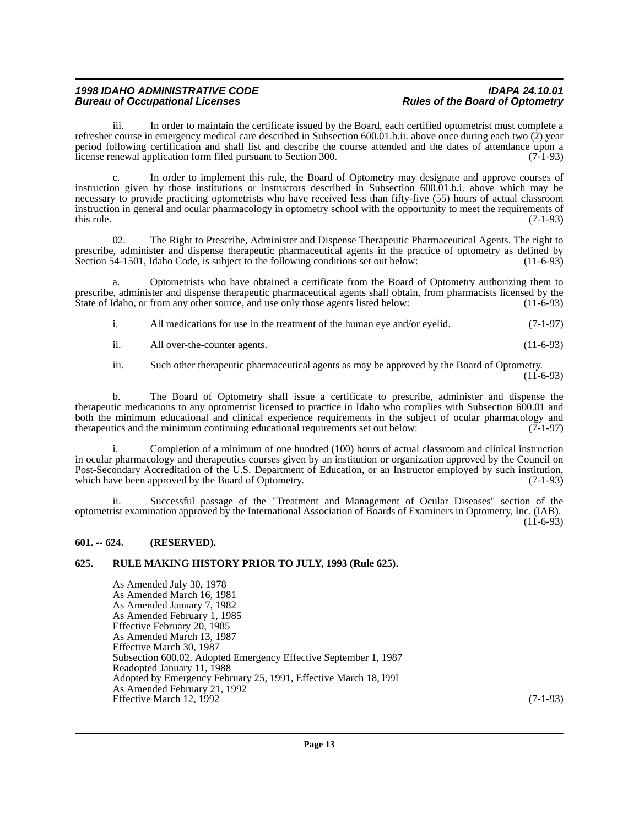iii. In order to maintain the certificate issued by the Board, each certified optometrist must complete a refresher course in emergency medical care described in Subsection 600.01.b.ii. above once during each two (2) year period following certification and shall list and describe the course attended and the dates of attendance upon a license renewal application form filed pursuant to Section 300. (7-1-93)

c. In order to implement this rule, the Board of Optometry may designate and approve courses of instruction given by those institutions or instructors described in Subsection 600.01.b.i. above which may be necessary to provide practicing optometrists who have received less than fifty-five (55) hours of actual classroom instruction in general and ocular pharmacology in optometry school with the opportunity to meet the requirements of this rule.  $(7-1-93)$ 

02. The Right to Prescribe, Administer and Dispense Therapeutic Pharmaceutical Agents. The right to prescribe, administer and dispense therapeutic pharmaceutical agents in the practice of optometry as defined by<br>Section 54-1501, Idaho Code, is subject to the following conditions set out below: (11-6-93) Section 54-1501, Idaho Code, is subject to the following conditions set out below:

a. Optometrists who have obtained a certificate from the Board of Optometry authorizing them to prescribe, administer and dispense therapeutic pharmaceutical agents shall obtain, from pharmacists licensed by the State of Idaho, or from any other source, and use only those agents listed below: (11-6-93) State of Idaho, or from any other source, and use only those agents listed below:

i. All medications for use in the treatment of the human eye and/or eyelid. (7-1-97)

ii. All over-the-counter agents. (11-6-93)

iii. Such other therapeutic pharmaceutical agents as may be approved by the Board of Optometry. (11-6-93)

b. The Board of Optometry shall issue a certificate to prescribe, administer and dispense the therapeutic medications to any optometrist licensed to practice in Idaho who complies with Subsection 600.01 and both the minimum educational and clinical experience requirements in the subject of ocular pharmacology and therapeutics and the minimum continuing educational requirements set out below: (7-1-97) therapeutics and the minimum continuing educational requirements set out below:

i. Completion of a minimum of one hundred (100) hours of actual classroom and clinical instruction in ocular pharmacology and therapeutics courses given by an institution or organization approved by the Council on Post-Secondary Accreditation of the U.S. Department of Education, or an Instructor employed by such institution, which have been approved by the Board of Optometry. (7-1-93) which have been approved by the Board of Optometry.

ii. Successful passage of the "Treatment and Management of Ocular Diseases" section of the optometrist examination approved by the International Association of Boards of Examiners in Optometry, Inc. (IAB). (11-6-93)

#### <span id="page-12-0"></span>**601. -- 624. (RESERVED).**

#### <span id="page-12-1"></span>**625. RULE MAKING HISTORY PRIOR TO JULY, 1993 (Rule 625).**

As Amended July 30, 1978 As Amended March 16, 1981 As Amended January 7, 1982 As Amended February 1, 1985 Effective February 20, 1985 As Amended March 13, 1987 Effective March 30, 1987 Subsection 600.02. Adopted Emergency Effective September 1, 1987 Readopted January 11, 1988 Adopted by Emergency February 25, 1991, Effective March 18, l99l As Amended February 21, 1992 Effective March 12, 1992 (7-1-93)